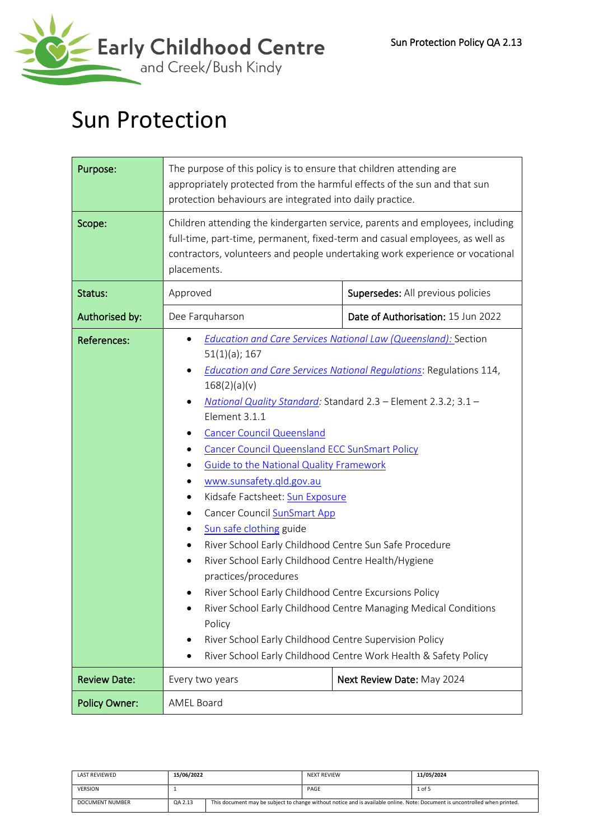

# Sun Protection

| Purpose:             | The purpose of this policy is to ensure that children attending are<br>appropriately protected from the harmful effects of the sun and that sun<br>protection behaviours are integrated into daily practice.                                                                                                                                                                                                                                                                                                                                                                                                                                                                                                                                                                                                                                                                                                                                                            |                                    |  |
|----------------------|-------------------------------------------------------------------------------------------------------------------------------------------------------------------------------------------------------------------------------------------------------------------------------------------------------------------------------------------------------------------------------------------------------------------------------------------------------------------------------------------------------------------------------------------------------------------------------------------------------------------------------------------------------------------------------------------------------------------------------------------------------------------------------------------------------------------------------------------------------------------------------------------------------------------------------------------------------------------------|------------------------------------|--|
| Scope:               | Children attending the kindergarten service, parents and employees, including<br>full-time, part-time, permanent, fixed-term and casual employees, as well as<br>contractors, volunteers and people undertaking work experience or vocational<br>placements.                                                                                                                                                                                                                                                                                                                                                                                                                                                                                                                                                                                                                                                                                                            |                                    |  |
| Status:              | Approved                                                                                                                                                                                                                                                                                                                                                                                                                                                                                                                                                                                                                                                                                                                                                                                                                                                                                                                                                                | Supersedes: All previous policies  |  |
| Authorised by:       | Dee Farquharson                                                                                                                                                                                                                                                                                                                                                                                                                                                                                                                                                                                                                                                                                                                                                                                                                                                                                                                                                         | Date of Authorisation: 15 Jun 2022 |  |
| <b>References:</b>   | <b>Education and Care Services National Law (Queensland): Section</b><br>$51(1)(a)$ ; 167<br><b>Education and Care Services National Regulations: Regulations 114,</b><br>168(2)(a)(v)<br>National Quality Standard: Standard 2.3 - Element 2.3.2; 3.1 -<br>Element 3.1.1<br><b>Cancer Council Queensland</b><br><b>Cancer Council Queensland ECC SunSmart Policy</b><br><b>Guide to the National Quality Framework</b><br>www.sunsafety.qld.gov.au<br>Kidsafe Factsheet: Sun Exposure<br><b>Cancer Council SunSmart App</b><br>Sun safe clothing guide<br>٠<br>River School Early Childhood Centre Sun Safe Procedure<br>River School Early Childhood Centre Health/Hygiene<br>practices/procedures<br>River School Early Childhood Centre Excursions Policy<br>River School Early Childhood Centre Managing Medical Conditions<br>Policy<br>River School Early Childhood Centre Supervision Policy<br>River School Early Childhood Centre Work Health & Safety Policy |                                    |  |
| <b>Review Date:</b>  | Every two years                                                                                                                                                                                                                                                                                                                                                                                                                                                                                                                                                                                                                                                                                                                                                                                                                                                                                                                                                         | Next Review Date: May 2024         |  |
| <b>Policy Owner:</b> | AMEL Board                                                                                                                                                                                                                                                                                                                                                                                                                                                                                                                                                                                                                                                                                                                                                                                                                                                                                                                                                              |                                    |  |

| <b>LAST REVIEWED</b>   | 15/06/2022 |                                                                                                                             | <b>NEXT REVIEW</b> | 11/05/2024 |
|------------------------|------------|-----------------------------------------------------------------------------------------------------------------------------|--------------------|------------|
| <b>VERSION</b>         |            |                                                                                                                             | PAGE               | 1 of 5     |
| <b>DOCUMENT NUMBER</b> | QA 2.13    | This document may be subject to change without notice and is available online. Note: Document is uncontrolled when printed. |                    |            |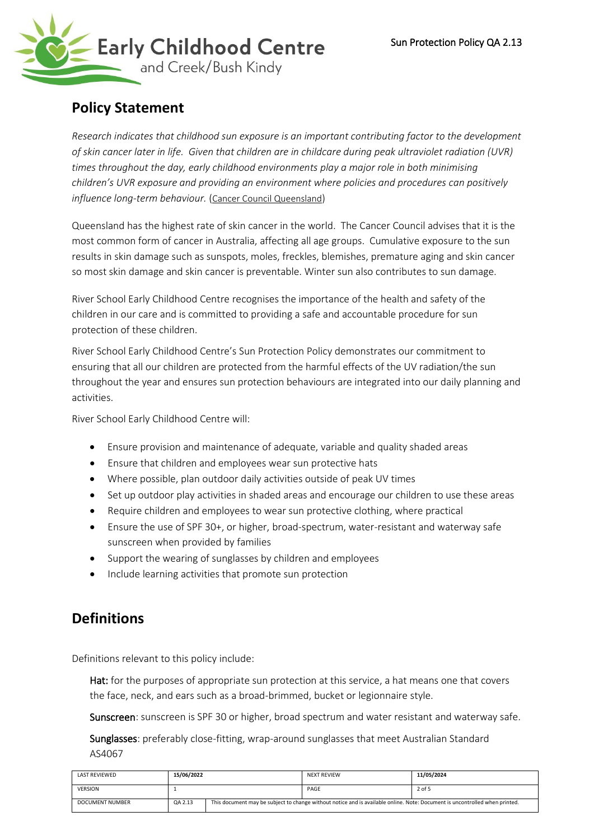

# **Policy Statement**

*Research indicates that childhood sun exposure is an important contributing factor to the development of skin cancer later in life. Given that children are in childcare during peak ultraviolet radiation (UVR) times throughout the day, early childhood environments play a major role in both minimising children's UVR exposure and providing an environment where policies and procedures can positively*  influence long-term behaviour. ([Cancer Council Queensland](http://www.cancerqld.org.au/page/prevention/skin_cancer/national_sunsmart_schools_and_early_childhood_centres/))

Queensland has the highest rate of skin cancer in the world. The Cancer Council advises that it is the most common form of cancer in Australia, affecting all age groups. Cumulative exposure to the sun results in skin damage such as sunspots, moles, freckles, blemishes, premature aging and skin cancer so most skin damage and skin cancer is preventable. Winter sun also contributes to sun damage.

River School Early Childhood Centre recognises the importance of the health and safety of the children in our care and is committed to providing a safe and accountable procedure for sun protection of these children.

River School Early Childhood Centre's Sun Protection Policy demonstrates our commitment to ensuring that all our children are protected from the harmful effects of the UV radiation/the sun throughout the year and ensures sun protection behaviours are integrated into our daily planning and activities.

River School Early Childhood Centre will:

- Ensure provision and maintenance of adequate, variable and quality shaded areas
- Ensure that children and employees wear sun protective hats
- Where possible, plan outdoor daily activities outside of peak UV times
- Set up outdoor play activities in shaded areas and encourage our children to use these areas
- Require children and employees to wear sun protective clothing, where practical
- Ensure the use of SPF 30+, or higher, broad-spectrum, water-resistant and waterway safe sunscreen when provided by families
- Support the wearing of sunglasses by children and employees
- Include learning activities that promote sun protection

# **Definitions**

Definitions relevant to this policy include:

Hat: for the purposes of appropriate sun protection at this service, a hat means one that covers the face, neck, and ears such as a broad-brimmed, bucket or legionnaire style.

Sunscreen: sunscreen is SPF 30 or higher, broad spectrum and water resistant and waterway safe.

Sunglasses: preferably close-fitting, wrap-around sunglasses that meet Australian Standard AS4067

| <b>LAST REVIEWED</b>   | 15/06/2022 |                                                                                                                             | <b>NEXT REVIEW</b> | 11/05/2024 |
|------------------------|------------|-----------------------------------------------------------------------------------------------------------------------------|--------------------|------------|
| <b>VERSION</b>         |            |                                                                                                                             | PAGE               | 2 of 5     |
| <b>DOCUMENT NUMBER</b> | QA 2.13    | This document may be subject to change without notice and is available online. Note: Document is uncontrolled when printed. |                    |            |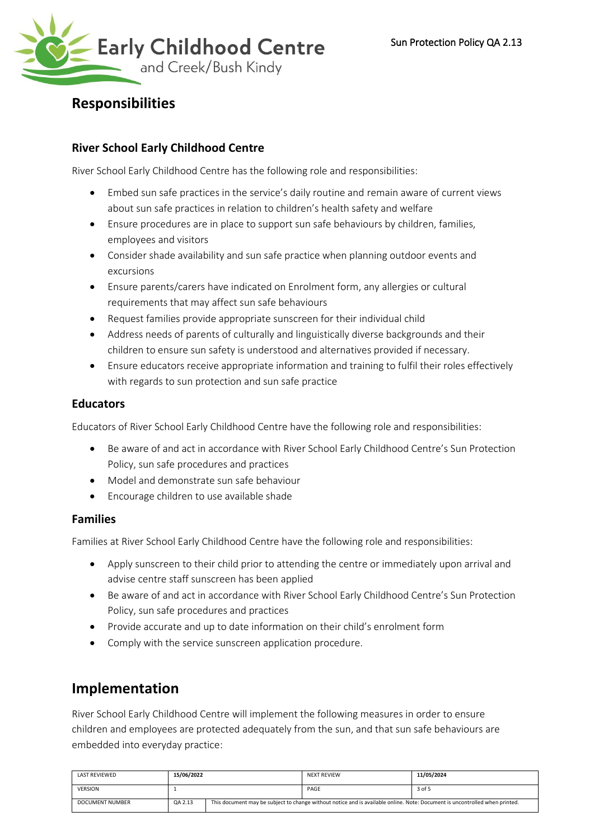

# **Responsibilities**

## **River School Early Childhood Centre**

River School Early Childhood Centre has the following role and responsibilities:

- Embed sun safe practices in the service's daily routine and remain aware of current views about sun safe practices in relation to children's health safety and welfare
- Ensure procedures are in place to support sun safe behaviours by children, families, employees and visitors
- Consider shade availability and sun safe practice when planning outdoor events and excursions
- Ensure parents/carers have indicated on Enrolment form, any allergies or cultural requirements that may affect sun safe behaviours
- Request families provide appropriate sunscreen for their individual child
- Address needs of parents of culturally and linguistically diverse backgrounds and their children to ensure sun safety is understood and alternatives provided if necessary.
- Ensure educators receive appropriate information and training to fulfil their roles effectively with regards to sun protection and sun safe practice

## **Educators**

Educators of River School Early Childhood Centre have the following role and responsibilities:

- Be aware of and act in accordance with River School Early Childhood Centre's Sun Protection Policy, sun safe procedures and practices
- Model and demonstrate sun safe behaviour
- Encourage children to use available shade

## **Families**

Families at River School Early Childhood Centre have the following role and responsibilities:

- Apply sunscreen to their child prior to attending the centre or immediately upon arrival and advise centre staff sunscreen has been applied
- Be aware of and act in accordance with River School Early Childhood Centre's Sun Protection Policy, sun safe procedures and practices
- Provide accurate and up to date information on their child's enrolment form
- Comply with the service sunscreen application procedure.

# **Implementation**

River School Early Childhood Centre will implement the following measures in order to ensure children and employees are protected adequately from the sun, and that sun safe behaviours are embedded into everyday practice:

| <b>LAST REVIEWED</b>   | 15/06/2022 |                                                                                                                             | <b>NEXT REVIEW</b> | 11/05/2024 |
|------------------------|------------|-----------------------------------------------------------------------------------------------------------------------------|--------------------|------------|
| <b>VERSION</b>         |            |                                                                                                                             | PAGE               | 3 of 5     |
| <b>DOCUMENT NUMBER</b> | QA 2.13    | This document may be subject to change without notice and is available online. Note: Document is uncontrolled when printed. |                    |            |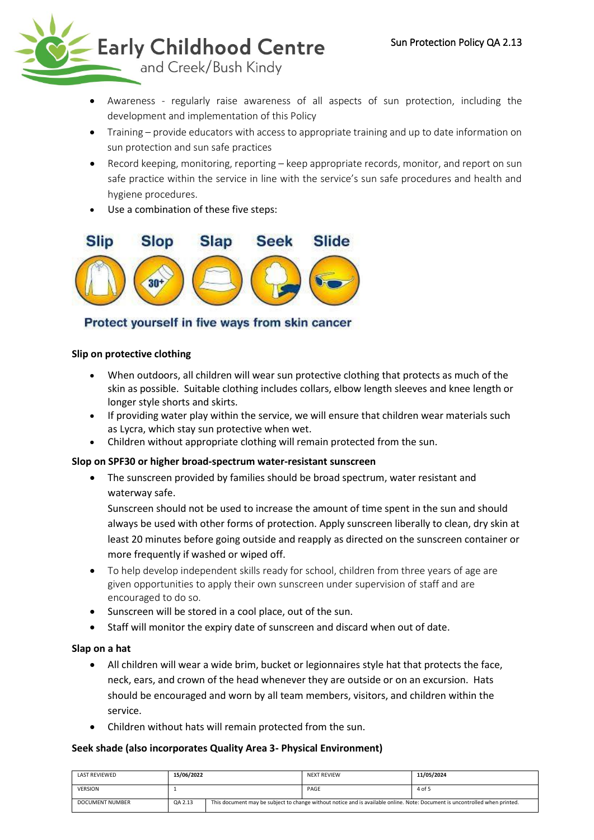

- Awareness regularly raise awareness of all aspects of sun protection, including the development and implementation of this Policy
- Training provide educators with access to appropriate training and up to date information on sun protection and sun safe practices
- Record keeping, monitoring, reporting keep appropriate records, monitor, and report on sun safe practice within the service in line with the service's sun safe procedures and health and hygiene procedures.
- Use a combination of these five steps:



## Protect yourself in five ways from skin cancer

## **Slip on protective clothing**

- When outdoors, all children will wear sun protective clothing that protects as much of the skin as possible. Suitable clothing includes collars, elbow length sleeves and knee length or longer style shorts and skirts.
- If providing water play within the service, we will ensure that children wear materials such as Lycra, which stay sun protective when wet.
- Children without appropriate clothing will remain protected from the sun.

## **Slop on SPF30 or higher broad-spectrum water-resistant sunscreen**

• The sunscreen provided by families should be broad spectrum, water resistant and waterway safe.

Sunscreen should not be used to increase the amount of time spent in the sun and should always be used with other forms of protection. Apply sunscreen liberally to clean, dry skin at least 20 minutes before going outside and reapply as directed on the sunscreen container or more frequently if washed or wiped off.

- To help develop independent skills ready for school, children from three years of age are given opportunities to apply their own sunscreen under supervision of staff and are encouraged to do so.
- Sunscreen will be stored in a cool place, out of the sun.
- Staff will monitor the expiry date of sunscreen and discard when out of date.

## **Slap on a hat**

- All children will wear a wide brim, bucket or legionnaires style hat that protects the face, neck, ears, and crown of the head whenever they are outside or on an excursion. Hats should be encouraged and worn by all team members, visitors, and children within the service.
- Children without hats will remain protected from the sun.

## **Seek shade (also incorporates Quality Area 3- Physical Environment)**

| LAST REVIEWED          | 15/06/2022 |                                                                                                                             | <b>NEXT REVIEW</b> | 11/05/2024 |
|------------------------|------------|-----------------------------------------------------------------------------------------------------------------------------|--------------------|------------|
| <b>VERSION</b>         |            |                                                                                                                             | PAGE               | 4 of 5     |
| <b>DOCUMENT NUMBER</b> | QA 2.13    | This document may be subject to change without notice and is available online. Note: Document is uncontrolled when printed. |                    |            |